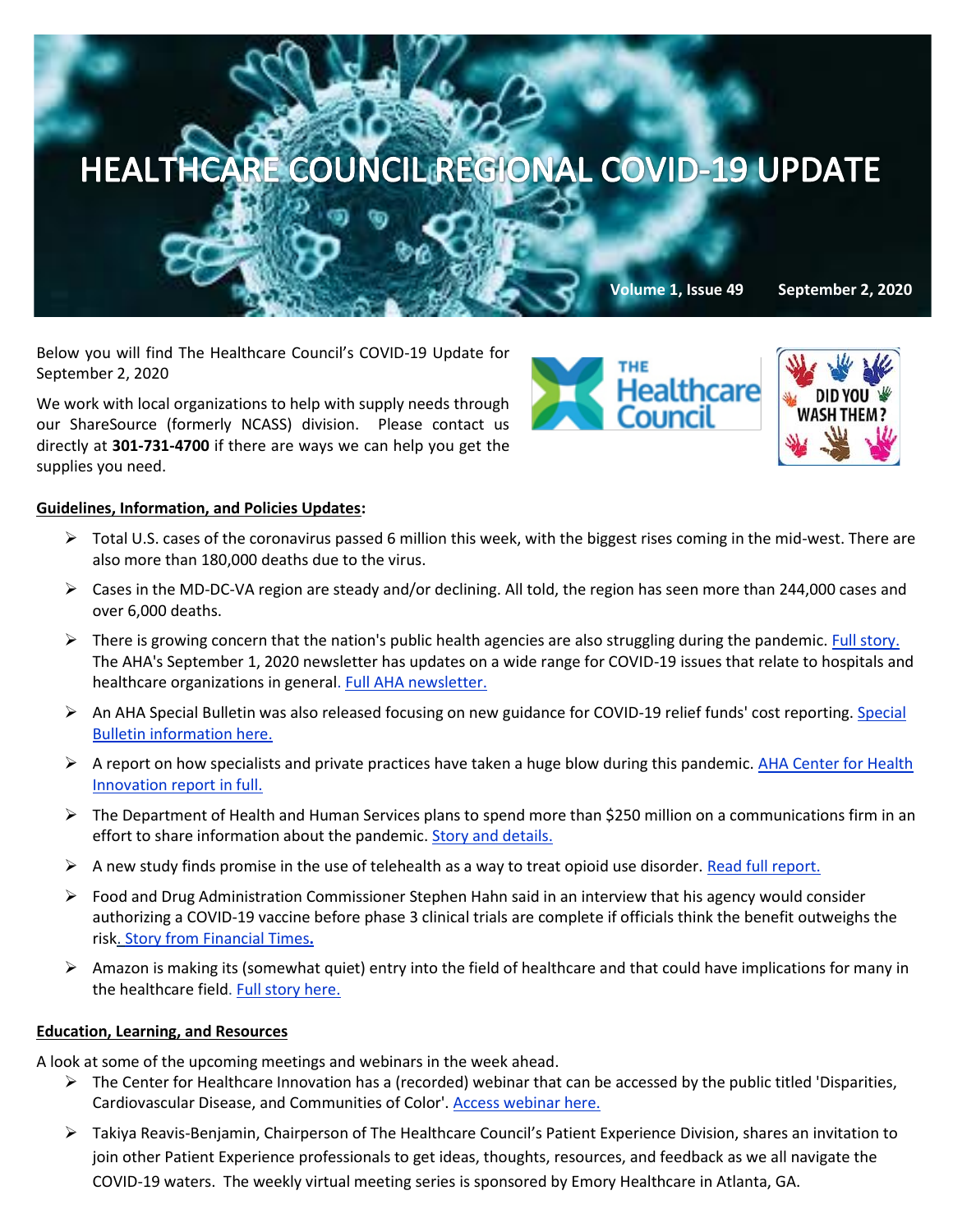

Below you will find The Healthcare Council's COVID-19 Update for September 2, 2020

We work with local organizations to help with supply needs through our ShareSource (formerly NCASS) division. Please contact us directly at **301-731-4700** if there are ways we can help you get the supplies you need.

## **Guidelines, Information, and Policies Updates:**

- $\triangleright$  Total U.S. cases of the coronavirus passed 6 million this week, with the biggest rises coming in the mid-west. There are also more than 180,000 deaths due to the virus.
- ➢ Cases in the MD-DC-VA region are steady and/or declining. All told, the region has seen more than 244,000 cases and over 6,000 deaths.
- $\triangleright$  There is growing concern that the nation's public health agencies are also struggling during the pandemic[. Full story.](https://www.washingtonpost.com/health/coronavirus-public-health-system/2020/08/31/4a6edec0-d662-11ea-aff6-220dd3a14741_story.html?itid=lk_inline_manual_17) The AHA's September 1, 2020 newsletter has updates on a wide range for COVID-19 issues that relate to hospitals and healthcare organizations in general. [Full AHA newsletter.](https://contentsharing.net/actions/email_web_version.cfm?ep=Bdhtp-zVuqFkgQiV6-lxty0f-nrLBJWzuTngPvD-5dWVEYbo1YEAMTVbNGAeUKkVfBkxHebN5UBH269wKvrIsy_NRJ_IJTYO6dod1uxqVFr5rc5fjiHpuouElAW24uLg)
- ➢ An AHA Special Bulletin was also released focusing on new guidance for COVID-19 relief funds' cost reporting. [Special](https://www.aha.org/special-bulletin/2020-09-01-cms-issues-new-guidance-covid-19-relief-funds-cost-reporting?utm_source=newsletter&utm_medium=email&utm_content=09012020-update-P3&utm_campaign=aha-special-bulletin)  [Bulletin information here.](https://www.aha.org/special-bulletin/2020-09-01-cms-issues-new-guidance-covid-19-relief-funds-cost-reporting?utm_source=newsletter&utm_medium=email&utm_content=09012020-update-P3&utm_campaign=aha-special-bulletin)
- $\triangleright$  A report on how specialists and private practices have taken a huge blow during this pandemic. AHA Center for Health [Innovation report in full.](https://mail.google.com/mail/u/0/#inbox/FMfcgxwJXfpqXVvDKRDJzZkgRfRMxBkC)
- $\triangleright$  The Department of Health and Human Services plans to spend more than \$250 million on a communications firm in an effort to share information about the pandemic[. Story and details.](https://www.politico.com/news/2020/08/31/hhs-contract-coronavirus-despair-hope-406361?mkt_tok=eyJpIjoiTW1ZNVpEY3haR1l4T0RJMCIsInQiOiJzcXFTV01uYldYWktXUU1RbWtqZ3kxclUrZTR0VkJwQk5MVHlUdHJyY1hqZ0JxMjRwNzkrSGhjYTJmYUxwd3ROSVwvbFBxMnJPdXdka2hua1dQTU9xaDB4NElUM1BCWkJNUTkxWGdIR1FIT0Z2TnJmdVRHOUltZTVPUDVyd1hmeVUifQ==)
- $\triangleright$  A new study finds promise in the use of telehealth as a way to treat opioid use disorder. [Read full report.](https://effectivehealthcare.ahrq.gov/products/telehealth-acute-chronic/research)
- ➢ Food and Drug Administration Commissioner Stephen Hahn said in an interview that his agency would consider authorizing a COVID-19 vaccine before phase 3 clinical trials are complete if officials think the benefit outweighs the risk. [Story from Financial Times](https://c.morningconsult.com/p0500T0vPA0M0ufAzV0CWC3#_blank)**.**
- $\triangleright$  Amazon is making its (somewhat quiet) entry into the field of healthcare and that could have implications for many in the healthcare field. [Full story here.](https://www.managedhealthcareexecutive.com/view/amazon-s-quiet-selective-forays-into-healthcare?utm_source=sfmc&utm_medium=email&utm_campaign=8312020_UNSPONSORED_MHE_eNL&eKey=bHBpdHRvbkBoZWFsdGhjYXJlLWNvdW5jaWwub3Jn)

## **Education, Learning, and Resources**

A look at some of the upcoming meetings and webinars in the week ahead.

- $\triangleright$  The Center for Healthcare Innovation has a (recorded) webinar that can be accessed by the public titled 'Disparities, Cardiovascular Disease, and Communities of Color'. [Access webinar here.](https://www.chisite.org/blog/covid-19-health-disparities-cardiovascular-disease-and-communities-of-color?ct=t(CHI_August_2020_Newsletter)&mc_cid=1f7b8ad5c4&mc_eid=8957a10461)
- ➢ Takiya Reavis-Benjamin, Chairperson of The Healthcare Council's Patient Experience Division, shares an invitation to join other Patient Experience professionals to get ideas, thoughts, resources, and feedback as we all navigate the COVID-19 waters. The weekly virtual meeting series is sponsored by Emory Healthcare in Atlanta, GA.